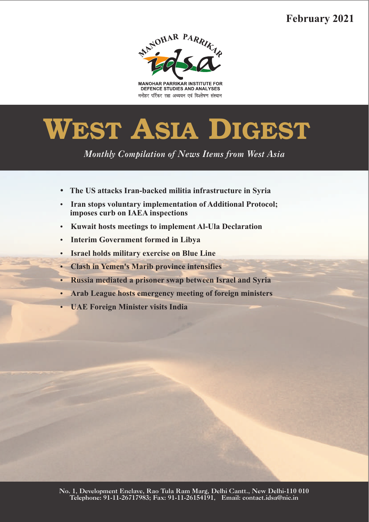# **February 2021**



**MANOHAR PARRIKAR INSTITUTE FOR** DEFENCE STUDIES AND ANALYSES मनोहर पर्रिकर रक्षा अध्ययन एवं विश्लेषण संस्थान

# **WEST ASIA DIGEST**

*Monthly Compilation of News Items from West Asia* 

- 
- ??**The US attacks Iran-backed militia infrastructure in Syria Iran stops voluntary implementation of Additional Protocol;**
- **imposes curb on IAEA inspections**<br>**•** Kuwait hosts meetings to impleme ?**Kuwait hosts meetings to implement Al-Ula Declaration**
- 
- ?**Interim Government formed in Libya**
- **Clash in Yemen's Marib province intensifies**
- **Russia mediated a prisoner swap between Israel and Syria**
- ?**Russia mediated a prisoner swap between Israel and Syria** ?**Arab League hosts emergency meeting of foreign ministers**
- **UAE Foreign Minister visits India**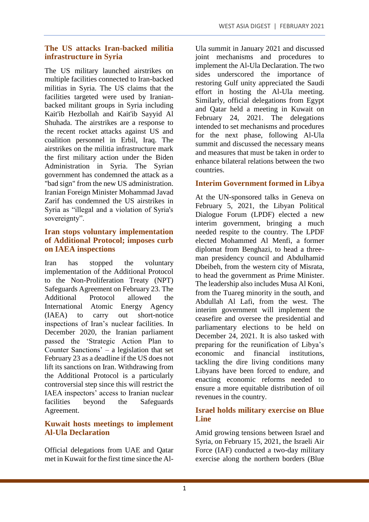#### **The US attacks Iran-backed militia infrastructure in Syria**

The US military launched airstrikes on multiple facilities connected to Iran-backed militias in Syria. The US claims that the facilities targeted were used by Iranianbacked militant groups in Syria including Kait'ib Hezbollah and Kait'ib Sayyid Al Shuhada. The airstrikes are a response to the recent rocket attacks against US and coalition personnel in Erbil, Iraq. The airstrikes on the militia infrastructure mark the first military action under the Biden Administration in Syria. The Syrian government has condemned the attack as a "bad sign" from the new US administration. Iranian Foreign Minister Mohammad Javad Zarif has condemned the US airstrikes in Syria as "illegal and a violation of Syria's sovereignty".

#### **Iran stops voluntary implementation of Additional Protocol; imposes curb on IAEA inspections**

Iran has stopped the voluntary implementation of the Additional Protocol to the Non-Proliferation Treaty (NPT) Safeguards Agreement on February 23. The Additional Protocol allowed the International Atomic Energy Agency (IAEA) to carry out short-notice inspections of Iran's nuclear facilities. In December 2020, the Iranian parliament passed the 'Strategic Action Plan to Counter Sanctions' – a legislation that set February 23 as a deadline if the US does not lift its sanctions on Iran. Withdrawing from the Additional Protocol is a particularly controversial step since this will restrict the IAEA inspectors' access to Iranian nuclear facilities beyond the Safeguards Agreement.

#### **Kuwait hosts meetings to implement Al-Ula Declaration**

Official delegations from UAE and Qatar met in Kuwait for the first time since the Al-

Ula summit in January 2021 and discussed joint mechanisms and procedures to implement the Al-Ula Declaration. The two sides underscored the importance of restoring Gulf unity appreciated the Saudi effort in hosting the Al-Ula meeting. Similarly, official delegations from Egypt and Qatar held a meeting in Kuwait on February 24, 2021. The delegations intended to set mechanisms and procedures for the next phase, following Al-Ula summit and discussed the necessary means and measures that must be taken in order to enhance bilateral relations between the two countries.

# **Interim Government formed in Libya**

At the UN-sponsored talks in Geneva on February 5, 2021, the Libyan Political Dialogue Forum (LPDF) elected a new interim government, bringing a much needed respite to the country. The LPDF elected Mohammed Al Menfi, a former diplomat from Benghazi, to head a threeman presidency council and Abdulhamid Dbeibeh, from the western city of Misrata, to head the government as Prime Minister. The leadership also includes Musa Al Koni, from the Tuareg minority in the south, and Abdullah Al Lafi, from the west. The interim government will implement the ceasefire and oversee the presidential and parliamentary elections to be held on December 24, 2021. It is also tasked with preparing for the reunification of Libya's economic and financial institutions, tackling the dire living conditions many Libyans have been forced to endure, and enacting economic reforms needed to ensure a more equitable distribution of oil revenues in the country.

## **Israel holds military exercise on Blue Line**

Amid growing tensions between Israel and Syria, on February 15, 2021, the Israeli Air Force (IAF) conducted a two-day military exercise along the northern borders (Blue